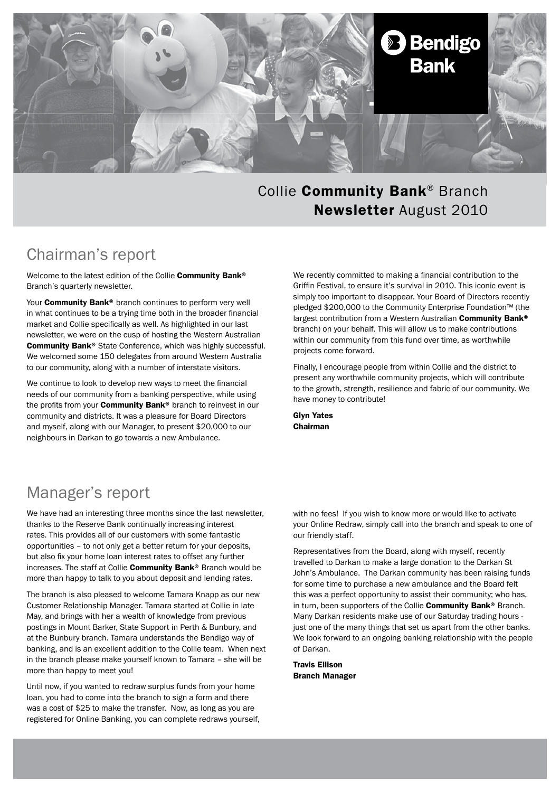

#### Collie Community Bank® Branch Newsletter August 2010

## Chairman's report

Welcome to the latest edition of the Collie Community Bank® Branch's quarterly newsletter.

Your **Community Bank®** branch continues to perform very well in what continues to be a trying time both in the broader financial market and Collie specifically as well. As highlighted in our last newsletter, we were on the cusp of hosting the Western Australian Community Bank® State Conference, which was highly successful. We welcomed some 150 delegates from around Western Australia to our community, along with a number of interstate visitors.

We continue to look to develop new ways to meet the financial needs of our community from a banking perspective, while using the profits from your **Community Bank®** branch to reinvest in our community and districts. It was a pleasure for Board Directors and myself, along with our Manager, to present \$20,000 to our neighbours in Darkan to go towards a new Ambulance.

We recently committed to making a financial contribution to the Griffin Festival, to ensure it's survival in 2010. This iconic event is simply too important to disappear. Your Board of Directors recently pledged \$200,000 to the Community Enterprise Foundation™ (the largest contribution from a Western Australian Community Bank® branch) on your behalf. This will allow us to make contributions within our community from this fund over time, as worthwhile projects come forward.

Finally, I encourage people from within Collie and the district to present any worthwhile community projects, which will contribute to the growth, strength, resilience and fabric of our community. We have money to contribute!

Glyn Yates Chairman

### Manager's report

We have had an interesting three months since the last newsletter, thanks to the Reserve Bank continually increasing interest rates. This provides all of our customers with some fantastic opportunities – to not only get a better return for your deposits, but also fix your home loan interest rates to offset any further increases. The staff at Collie **Community Bank®** Branch would be more than happy to talk to you about deposit and lending rates.

The branch is also pleased to welcome Tamara Knapp as our new Customer Relationship Manager. Tamara started at Collie in late May, and brings with her a wealth of knowledge from previous postings in Mount Barker, State Support in Perth & Bunbury, and at the Bunbury branch. Tamara understands the Bendigo way of banking, and is an excellent addition to the Collie team. When next in the branch please make yourself known to Tamara – she will be more than happy to meet you!

Until now, if you wanted to redraw surplus funds from your home loan, you had to come into the branch to sign a form and there was a cost of \$25 to make the transfer. Now, as long as you are registered for Online Banking, you can complete redraws yourself, with no fees! If you wish to know more or would like to activate your Online Redraw, simply call into the branch and speak to one of our friendly staff.

Representatives from the Board, along with myself, recently travelled to Darkan to make a large donation to the Darkan St John's Ambulance. The Darkan community has been raising funds for some time to purchase a new ambulance and the Board felt this was a perfect opportunity to assist their community; who has, in turn, been supporters of the Collie Community Bank® Branch. Many Darkan residents make use of our Saturday trading hours just one of the many things that set us apart from the other banks. We look forward to an ongoing banking relationship with the people of Darkan.

Travis Ellison Branch Manager